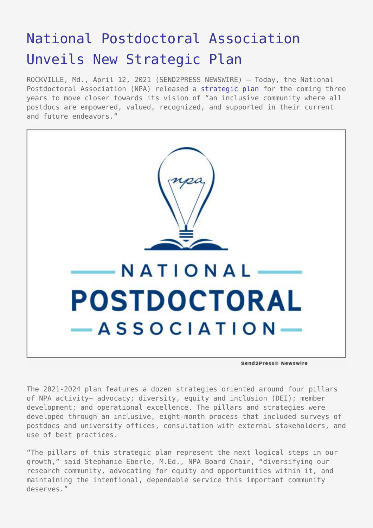## [National Postdoctoral Association](https://www.send2press.com/wire/national-postdoctoral-association-unveils-new-strategic-plan/) [Unveils New Strategic Plan](https://www.send2press.com/wire/national-postdoctoral-association-unveils-new-strategic-plan/)

ROCKVILLE, Md., April 12, 2021 (SEND2PRESS NEWSWIRE) — Today, the National Postdoctoral Association (NPA) released a [strategic plan](https://www.nationalpostdoc.org) for the coming three years to move closer towards its vision of "an inclusive community where all postdocs are empowered, valued, recognized, and supported in their current and future endeavors."



The 2021-2024 plan features a dozen strategies oriented around four pillars of NPA activity– advocacy; diversity, equity and inclusion (DEI); member development; and operational excellence. The pillars and strategies were developed through an inclusive, eight-month process that included surveys of postdocs and university offices, consultation with external stakeholders, and use of best practices.

"The pillars of this strategic plan represent the next logical steps in our growth," said Stephanie Eberle, M.Ed., NPA Board Chair, "diversifying our research community, advocating for equity and opportunities within it, and maintaining the intentional, dependable service this important community deserves."